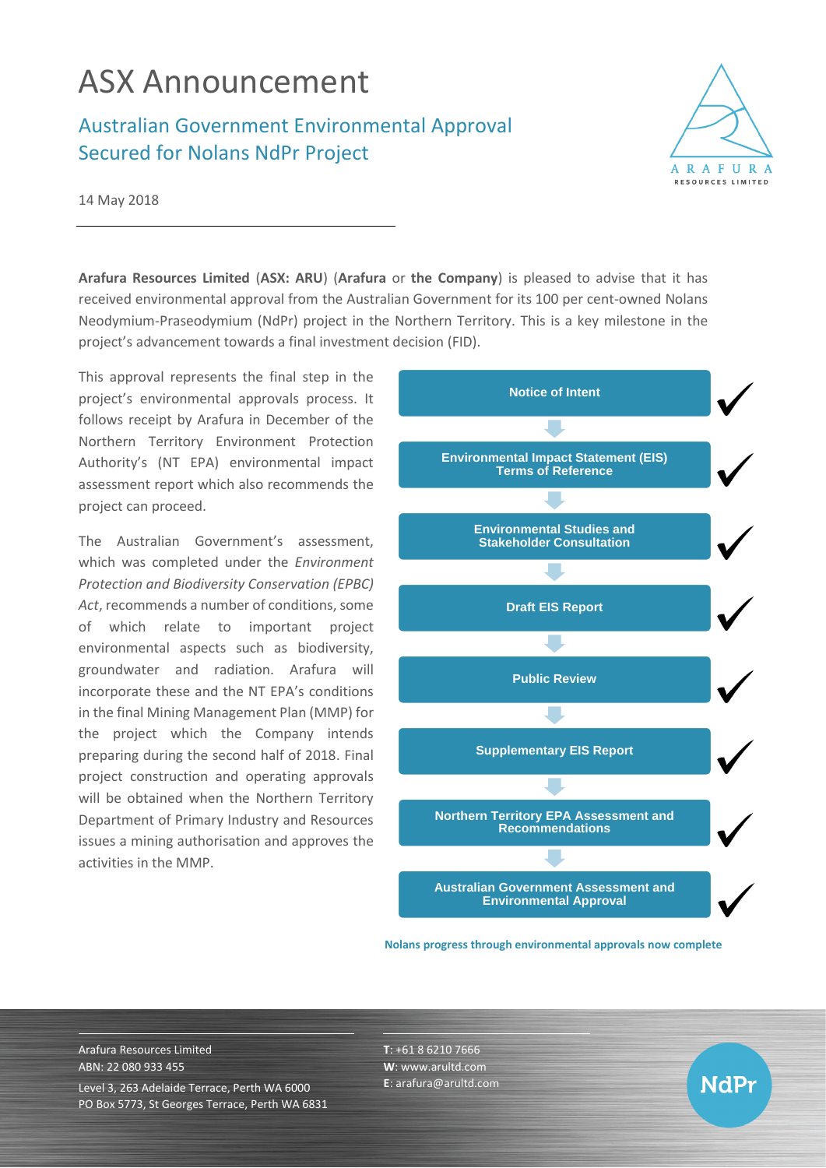## ASX Announcement

## Australian Government Environmental Approval Secured for Nolans NdPr Project



NdPr

14 May 2018

**Arafura Resources Limited** (**ASX: ARU**) (**Arafura** or **the Company**) is pleased to advise that it has received environmental approval from the Australian Government for its 100 per cent-owned Nolans Neodymium-Praseodymium (NdPr) project in the Northern Territory. This is a key milestone in the project's advancement towards a final investment decision (FID).

This approval represents the final step in the project's environmental approvals process. It follows receipt by Arafura in December of the Northern Territory Environment Protection Authority's (NT EPA) environmental impact assessment report which also recommends the project can proceed.

The Australian Government's assessment, which was completed under the *Environment Protection and Biodiversity Conservation (EPBC) Act*, recommends a number of conditions, some of which relate to important project environmental aspects such as biodiversity, groundwater and radiation. Arafura will incorporate these and the NT EPA's conditions in the final Mining Management Plan (MMP) for the project which the Company intends preparing during the second half of 2018. Final project construction and operating approvals will be obtained when the Northern Territory Department of Primary Industry and Resources issues a mining authorisation and approves the activities in the MMP.



**Nolans progress through environmental approvals now complete**

Arafura Resources Limited ABN: 22 080 933 455 Level 3, 263 Adelaide Terrace, Perth WA 6000 PO Box 5773, St Georges Terrace, Perth WA 6831 **T**: +61 8 6210 7666 **W**: [www.arultd.com](http://www.arultd.com/) **E**[: arafura@arultd.com](mailto:arafura@arultd.com)